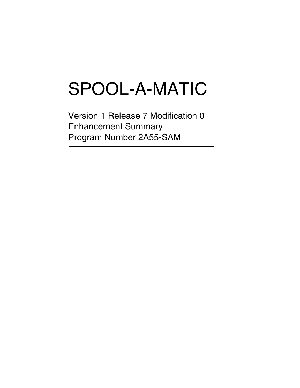# SPOOL-A-MATIC

Version 1 Release 7 Modification 0 Enhancement Summary Program Number 2A55-SAM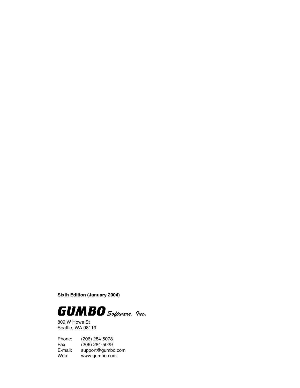**Sixth Edition (January 2004)**



809 W Howe St Seattle, WA 98119

Phone: (206) 284-5078 Fax: (206) 284-5029<br>E-mail: support@gumb E-mail: support@gumbo.com<br>Web: www.gumbo.com www.gumbo.com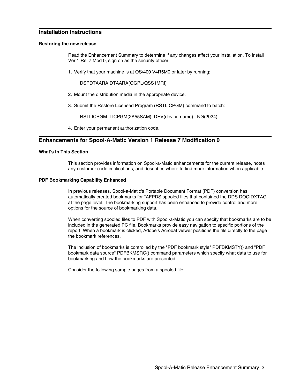# **Installation Instructions**

#### **Restoring the new release**

Read the Enhancement Summary to determine if any changes affect your installation. To install Ver 1 Rel 7 Mod 0, sign on as the security officer.

1. Verify that your machine is at OS/400 V4R5M0 or later by running:

DSPDTAARA DTAARA(QGPL/QSS1MRI)

- 2. Mount the distribution media in the appropriate device.
- 3. Submit the Restore Licensed Program (RSTLICPGM) command to batch:

RSTLICPGM LICPGM(2A55SAM) DEV(device-name) LNG(2924)

4. Enter your permanent authorization code.

# **Enhancements for Spool-A-Matic Version 1 Release 7 Modification 0**

### **What's In This Section**

This section provides information on Spool-a-Matic enhancements for the current release, notes any customer code implications, and describes where to find more information when applicable.

#### **PDF Bookmarking Capability Enhanced**

In previous releases, Spool-a-Matic's Portable Document Format (PDF) conversion has automatically created bookmarks for \*AFPDS spooled files that contained the DDS DOCIDXTAG at the page level. The bookmarking support has been enhanced to provide control and more options for the source of bookmarking data.

When converting spooled files to PDF with Spool-a-Matic you can specify that bookmarks are to be included in the generated PC file. Bookmarks provide easy navigation to specific portions of the report. When a bookmark is clicked, Adobe's Acrobat viewer positions the file directly to the page the bookmark references.

The inclusion of bookmarks is controlled by the "PDF bookmark style" PDFBKMSTY() and "PDF bookmark data source" PDFBKMSRC() command parameters which specify what data to use for bookmarking and how the bookmarks are presented.

Consider the following sample pages from a spooled file: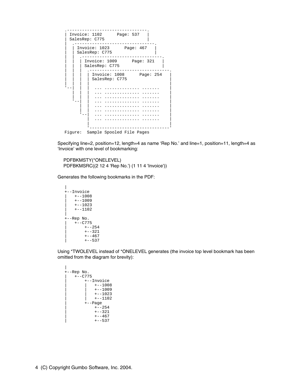

Specifying line=2, position=12, length=4 as name 'Rep No.' and line=1, position=11, length=4 as 'Invoice' with one level of bookmarking:

PDFBKMSTY(\*ONELEVEL) PDFBKMSRC((2 12 4 'Rep No.') (1 11 4 'Invoice'))

Generates the following bookmarks in the PDF:

```
|
+--Invoice
  +--1008+--1009+--1023+--1102|
+--Rep No.
  +--C775| +--254
      +--321+--467+--537
```
Using \*TWOLEVEL instead of \*ONELEVEL generates (the invoice top level bookmark has been omitted from the diagram for brevity):

```
\mathbb{L}+--Rep No. 
  | +--C775 
      | +--Invoice 
         +--1008| | +--1009
| + -1023+ - -1102.<br>+--Page
         +--254+--321+--467+--537
```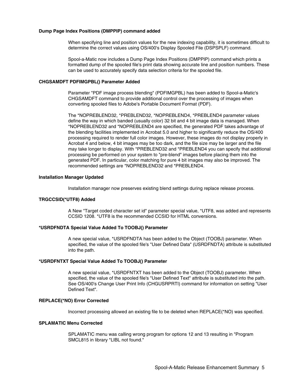#### **Dump Page Index Positions (DMPPIP) command added**

When specifying line and position values for the new indexing capability, it is sometimes difficult to determine the correct values using OS/400's Display Spooled File (DSPSPLF) command.

Spool-a-Matic now includes a Dump Page Index Positions (DMPPIP) command which prints a formatted dump of the spooled file's print data showing accurate line and position numbers. These can be used to accurately specify data selection criteria for the spooled file.

#### **CHGSAMDFT PDFIMGPBL() Parameter Added**

Parameter "PDF image process blending" (PDFIMGPBL) has been added to Spool-a-Matic's CHGSAMDFT command to provide additional control over the processing of images when converting spooled files to Adobe's Portable Document Format (PDF).

The \*NOPREBLEND32, \*PREBLEND32, \*NOPREBLEND4, \*PREBLEND4 parameter values define the way in which banded (usually color) 32 bit and 4 bit image data is managed. When \*NOPREBLEND32 and \*NOPREBLEND4 are specified, the generated PDF takes advantage of the blending facilities implemented in Acrobat 5.0 and higher to significantly reduce the OS/400 processing required to render full color images. However, these images do not display properly in Acrobat 4 and below, 4 bit images may be too dark, and the file size may be larger and the file may take longer to display. With \*PREBLEND32 and \*PREBLEND4 you can specify that additional processing be performed on your system to "pre-blend" images before placing them into the generated PDF. In particular, color matching for pure 4 bit images may also be improved. The recommended settings are \*NOPREBLEND32 and \*PREBLEND4.

#### **Installation Manager Updated**

Installation manager now preserves existing blend settings during replace release process.

#### **TRGCCSID(\*UTF8) Added**

A New "Target coded character set id" parameter special value, \*UTF8, was added and represents CCSID 1208. \*UTF8 is the recommended CCSID for HTML conversions.

#### **\*USRDFNDTA Special Value Added To TOOBJ() Parameter**

A new special value, \*USRDFNDTA has been added to the Object (TOOBJ) parameter. When specified, the value of the spooled file's "User Defined Data" (USRDFNDTA) attribute is substituted into the path.

#### **\*USRDFNTXT Special Value Added To TOOBJ() Parameter**

A new special value, \*USRDFNTXT has been added to the Object (TOOBJ) parameter. When specified, the value of the spooled file's "User Defined Text" attribute is substituted into the path. See OS/400's Change User Print Info (CHGUSRPRTI) command for information on setting "User Defined Text".

# **REPLACE(\*NO) Error Corrected**

Incorrect processing allowed an existing file to be deleted when REPLACE(\*NO) was specified.

# **SPLAMATIC Menu Corrected**

SPLAMATIC menu was calling wrong program for options 12 and 13 resulting in "Program SMCL815 in library \*LIBL not found."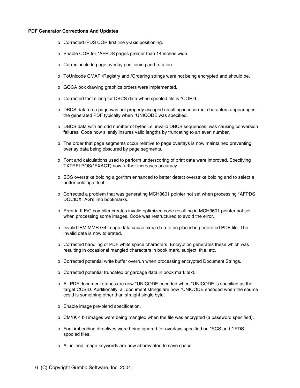#### **PDF Generator Corrections And Updates**

- o Corrected IPDS COR first line y-axis positioning.
- o Enable COR for \*AFPDS pages greater than 14 inches wide.
- o Correct include page overlay positioning and rotation.
- o ToUnicode CMAP /Registry and /Ordering strings were not being encrypted and should be.
- o GOCA box drawing graphics orders were implemented.
- o Corrected font sizing for DBCS data when spooled file is \*COR'd.
- o DBCS data on a page was not properly escaped resulting in incorrect characters appearing in the generated PDF typically when \*UNICODE was specified.
- o DBCS data with an odd number of bytes i.e. invalid DBCS sequences, was causing conversion failures. Code now silently insures valid lengths by truncating to an even number.
- o The order that page segments occur relative to page overlays is now maintained preventing overlay data being obscured by page segments.
- o Font and calculations used to perform underscoring of print data were improved. Specifying TXTRELPOS(\*EXACT) now further increases accuracy.
- o SCS overstrike bolding algorithm enhanced to better detect overstrike bolding and to select a better bolding offset.
- o Corrected a problem that was generating MCH3601 pointer not set when processing \*AFPDS DOCIDXTAG's into bookmarks.
- o Error in ILE/C compiler creates invalid optimized code resulting in MCH3601 pointer not set when processing some images. Code was restructured to avoid the error.
- o Invalid IBM MMR G4 image data cause extra data to be placed in generated PDF file. The invalid data is now tolerated.
- o Corrected handling of PDF white space characters. Encryption generates these which was resulting in occasional mangled characters in book mark, subject, title, etc.
- o Corrected potential write buffer overrun when processing encrypted Document Strings.
- o Corrected potential truncated or garbage data in book mark text.
- o All PDF document strings are now \*UNICODE encoded when \*UNICODE is specified as the target CCSID. Additionally, all document strings are now \*UNICODE encoded when the source ccsid is something other than straight single byte.
- o Enable image pre-blend specification.
- o CMYK 4 bit images were being mangled when the file was encrypted (a password specified).
- o Font imbedding directives were being ignored for overlays specified on \*SCS and \*IPDS spooled files.
- o All inlined image keywords are now abbreviated to save space.
- 6 (C) Copyright Gumbo Software, Inc. 2004.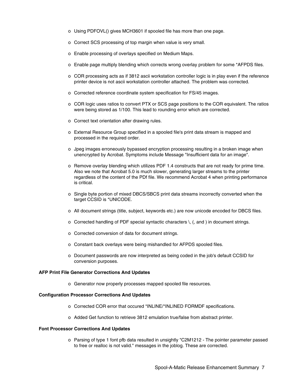- o Using PDFOVL() gives MCH3601 if spooled file has more than one page.
- o Correct SCS processing of top margin when value is very small.
- o Enable processing of overlays specified on Medium Maps.
- o Enable page multiply blending which corrects wrong overlay problem for some \*AFPDS files.
- o COR processing acts as if 3812 ascii workstation controller logic is in play even if the reference printer device is not ascii workstation controller attached. The problem was corrected.
- o Corrected reference coordinate system specification for FS/45 images.
- o COR logic uses ratios to convert PTX or SCS page positions to the COR equivalent. The ratios were being stored as 1/100. This lead to rounding error which are corrected.
- o Correct text orientation after drawing rules.
- o External Resource Group specified in a spooled file's print data stream is mapped and processed in the required order.
- o Jpeg images erroneously bypassed encryption processing resulting in a broken image when unencrypted by Acrobat. Symptoms include Message "Insufficient data for an image".
- o Remove overlay blending which utilizes PDF 1.4 constructs that are not ready for prime time. Also we note that Acrobat 5.0 is much slower, generating larger streams to the printer regardless of the content of the PDf file. We recommend Acrobat 4 when printing performance is critical.
- o Single byte portion of mixed DBCS/SBCS print data streams incorrectly converted when the target CCSID is \*UNICODE.
- o All document strings (title, subject, keywords etc.) are now unicode encoded for DBCS files.
- o Corrected handling of PDF special syntactic characters \, (, and ) in document strings.
- o Corrected conversion of data for document strings.
- o Constant back overlays were being mishandled for AFPDS spooled files.
- o Document passwords are now interpreted as being coded in the job's default CCSID for conversion purposes.

#### **AFP Print File Generator Corrections And Updates**

o Generator now properly processes mapped spooled file resources.

#### **Configuration Processor Corrections And Updates**

- o Corrected COR error that occured \*INLINE/\*INLINED FORMDF specifications.
- o Added Get function to retrieve 3812 emulation true/false from abstract printer.

#### **Font Processor Corrections And Updates**

o Parsing of type 1 font pfb data resulted in unsightly "C2M1212 - The pointer parameter passed to free or realloc is not valid." messages in the joblog. These are corrected.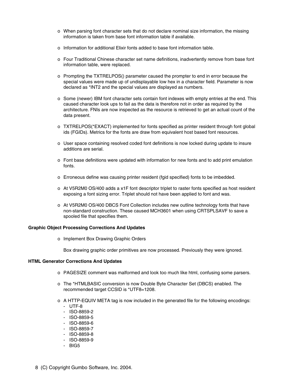- o When parsing font character sets that do not declare nominal size information, the missing information is taken from base font information table if available.
- o Information for additional Elixir fonts added to base font information table.
- o Four Traditional Chinese character set name definitions, inadvertently remove from base font information table, were replaced.
- o Prompting the TXTRELPOS() parameter caused the prompter to end in error because the special values were made up of undisplayable low hex in a character field. Parameter is now declared as \*INT2 and the special values are displayed as numbers.
- o Some (newer) IBM font character sets contain font indexes with empty entries at the end. This caused character look ups to fail as the data is therefore not in order as required by the architecture. FNIs are now inspected as the resource is retrieved to get an actual count of the data present.
- o TXTRELPOS(\*EXACT) implemented for fonts specified as printer resident through font global ids (FGIDs). Metrics for the fonts are draw from equivalent host based font resources.
- o User space containing resolved coded font definitions is now locked during update to insure additions are serial.
- o Font base definitions were updated with information for new fonts and to add print emulation fonts.
- o Erroneous define was causing printer resident (fgid specified) fonts to be imbedded.
- o At V5R2M0 OS/400 adds a x1F font descriptor triplet to raster fonts specified as host resident exposing a font sizing error. Triplet should not have been applied to font and was.
- o At V5R2M0 OS/400 DBCS Font Collection includes new outline technology fonts that have non-standard construction. These caused MCH3601 when using CRTSPLSAVF to save a spooled file that specifies them.

# **Graphic Object Processing Corrections And Updates**

o Implement Box Drawing Graphic Orders

Box drawing graphic order primitives are now processed. Previously they were ignored.

# **HTML Generator Corrections And Updates**

- o PAGESIZE comment was malformed and look too much like html, confusing some parsers.
- o The \*HTMLBASIC conversion is now Double Byte Character Set (DBCS) enabled. The recommended target CCSID is \*UTF8=1208.
- o A HTTP-EQUIV META tag is now included in the generated file for the following encodings: - UTF-8
	- ISO-8859-2
	- ISO-8859-5
	- ISO-8859-6
	- ISO-8859-7
	- ISO-8859-8
	- ISO-8859-9
	- BIG5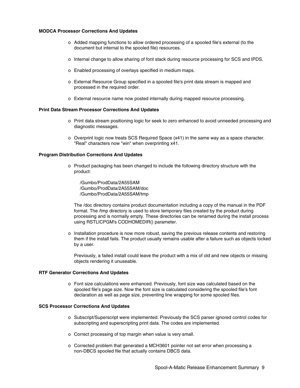#### **MODCA Processor Corrections And Updates**

- o Added mapping functions to allow ordered processing of a spooled file's external (to the document but internal to the spooled file) resources.
- o Internal change to allow sharing of font stack during resource processing for SCS and IPDS.
- o Enabled processing of overlays specified in medium maps.
- o External Resource Group specified in a spooled file's print data stream is mapped and processed in the required order.
- o External resource name now posted internally during mapped resource processing.

#### **Print Data Stream Processor Corrections And Updates**

- o Print data stream positioning logic for seek to zero enhanced to avoid unneeded processing and diagnostic messages.
- o Overprint logic now treats SCS Required Space (x41) in the same way as a space character. "Real" characters now "win" when overprinting x41.

#### **Program Distribution Corrections And Updates**

- o Product packaging has been changed to include the following directory structure with the product:
	- /Gumbo/ProdData/2A55SAM /Gumbo/ProdData/2A55SAM/doc /Gumbo/ProdData/2A55SAM/tmp

The /doc directory contains product documentation including a copy of the manual in the PDF format. The /tmp directory is used to store temporary files created by the product during processing and is normally empty. These directories can be renamed during the install process using RSTLICPGM's CODHOMEDIR() parameter.

o Installation procedure is now more robust, saving the previous release contents and restoring them if the install fails. The product usually remains usable after a failure such as objects locked by a user.

Previously, a failed install could leave the product with a mix of old and new objects or missing objects rendering it unuseable.

# **RTF Generator Corrections And Updates**

o Font size calculations were enhanced. Previously, font size was calculated based on the spooled file's page size. Now the font size is calculated considering the spooled file's font declaration as well as page size, preventing line wrapping for some spooled files.

#### **SCS Processor Corrections And Updates**

- o Subscript/Superscript were implemented. Previously the SCS parser ignored control codes for subscripting and superscripting print data. The codes are implemented.
- o Correct processing of top margin when value is very small.
- o Corrected problem that generated a MCH3601 pointer not set error when processing a non-DBCS spooled file that actually contains DBCS data.